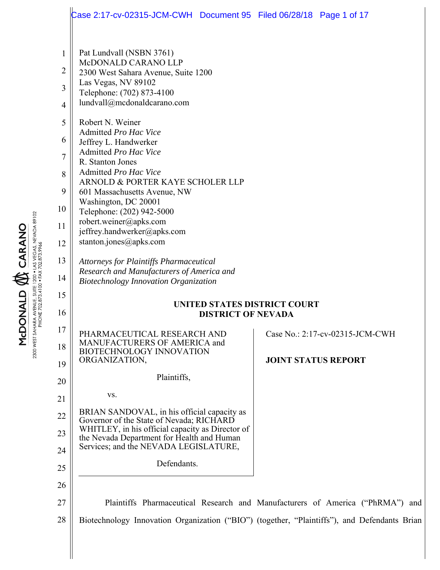|                                                                                                 | Case 2:17-cv-02315-JCM-CWH  Document 95  Filed 06/28/18  Page 1 of 17                                                                                                                                                                                                                                                                                                                                                                                                                                   |                            |                                 |  |
|-------------------------------------------------------------------------------------------------|---------------------------------------------------------------------------------------------------------------------------------------------------------------------------------------------------------------------------------------------------------------------------------------------------------------------------------------------------------------------------------------------------------------------------------------------------------------------------------------------------------|----------------------------|---------------------------------|--|
| $\mathbf{1}$<br>$\overline{2}$<br>3<br>$\overline{4}$<br>5<br>6<br>$\tau$<br>8<br>9<br>10<br>11 | Pat Lundvall (NSBN 3761)<br>McDONALD CARANO LLP<br>2300 West Sahara Avenue, Suite 1200<br>Las Vegas, NV 89102<br>Telephone: (702) 873-4100<br>lundvall@mcdonaldcarano.com<br>Robert N. Weiner<br>Admitted Pro Hac Vice<br>Jeffrey L. Handwerker<br>Admitted Pro Hac Vice<br>R. Stanton Jones<br>Admitted Pro Hac Vice<br>ARNOLD & PORTER KAYE SCHOLER LLP<br>601 Massachusetts Avenue, NW<br>Washington, DC 20001<br>Telephone: (202) 942-5000<br>robert.weiner@apks.com<br>jeffrey.handwerker@apks.com |                            |                                 |  |
| 12                                                                                              | stanton.jones@apks.com                                                                                                                                                                                                                                                                                                                                                                                                                                                                                  |                            |                                 |  |
| 13<br>14                                                                                        | <b>Attorneys for Plaintiffs Pharmaceutical</b><br>Research and Manufacturers of America and<br><b>Biotechnology Innovation Organization</b>                                                                                                                                                                                                                                                                                                                                                             |                            |                                 |  |
| 15<br>16                                                                                        | UNITED STATES DISTRICT COURT                                                                                                                                                                                                                                                                                                                                                                                                                                                                            |                            |                                 |  |
|                                                                                                 | <b>DISTRICT OF NEVADA</b>                                                                                                                                                                                                                                                                                                                                                                                                                                                                               |                            |                                 |  |
| 17<br>18                                                                                        | PHARMACEUTICAL RESEARCH AND<br>MANUFACTURERS OF AMERICA and<br><b>BIOTECHNOLOGY INNOVATION</b><br>ORGANIZATION,                                                                                                                                                                                                                                                                                                                                                                                         | <b>JOINT STATUS REPORT</b> | Case No.: 2:17-cv-02315-JCM-CWH |  |
| 19                                                                                              | Plaintiffs,                                                                                                                                                                                                                                                                                                                                                                                                                                                                                             |                            |                                 |  |
| 20<br>21                                                                                        | VS.                                                                                                                                                                                                                                                                                                                                                                                                                                                                                                     |                            |                                 |  |
| 22                                                                                              | BRIAN SANDOVAL, in his official capacity as                                                                                                                                                                                                                                                                                                                                                                                                                                                             |                            |                                 |  |
| 23                                                                                              | Governor of the State of Nevada; RICHARD<br>WHITLEY, in his official capacity as Director of                                                                                                                                                                                                                                                                                                                                                                                                            |                            |                                 |  |
| 24                                                                                              | the Nevada Department for Health and Human<br>Services; and the NEVADA LEGISLATURE,                                                                                                                                                                                                                                                                                                                                                                                                                     |                            |                                 |  |
| 25                                                                                              | Defendants.                                                                                                                                                                                                                                                                                                                                                                                                                                                                                             |                            |                                 |  |
| 26                                                                                              |                                                                                                                                                                                                                                                                                                                                                                                                                                                                                                         |                            |                                 |  |
| 27                                                                                              | Plaintiffs Pharmaceutical Research and Manufacturers of America ("PhRMA") and                                                                                                                                                                                                                                                                                                                                                                                                                           |                            |                                 |  |
| 28                                                                                              | Biotechnology Innovation Organization ("BIO") (together, "Plaintiffs"), and Defendants Brian                                                                                                                                                                                                                                                                                                                                                                                                            |                            |                                 |  |
|                                                                                                 |                                                                                                                                                                                                                                                                                                                                                                                                                                                                                                         |                            |                                 |  |

**MCDONALD & CARANO**<br>2300 WEST SAHARA AVENUE, SUITE 1200 • LAS VEGAS, NEVADA 89102<br>PHONE 702.873.4100 • FAX 702.873.9966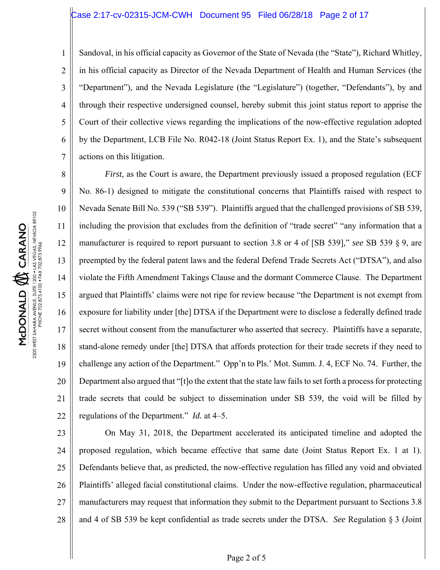# Case 2:17-cv-02315-JCM-CWH Document 95 Filed 06/28/18 Page 2 of 17

1

2

3

4

5

6

7

Sandoval, in his official capacity as Governor of the State of Nevada (the "State"), Richard Whitley, in his official capacity as Director of the Nevada Department of Health and Human Services (the "Department"), and the Nevada Legislature (the "Legislature") (together, "Defendants"), by and through their respective undersigned counsel, hereby submit this joint status report to apprise the Court of their collective views regarding the implications of the now-effective regulation adopted by the Department, LCB File No. R042-18 (Joint Status Report Ex. 1), and the State's subsequent actions on this litigation.

8 9 10 11 12 13 14 15 16 17 18 19 20 21 22 *First*, as the Court is aware, the Department previously issued a proposed regulation (ECF No. 86-1) designed to mitigate the constitutional concerns that Plaintiffs raised with respect to Nevada Senate Bill No. 539 ("SB 539"). Plaintiffs argued that the challenged provisions of SB 539, including the provision that excludes from the definition of "trade secret" "any information that a manufacturer is required to report pursuant to section 3.8 or 4 of [SB 539]," *see* SB 539 § 9, are preempted by the federal patent laws and the federal Defend Trade Secrets Act ("DTSA"), and also violate the Fifth Amendment Takings Clause and the dormant Commerce Clause. The Department argued that Plaintiffs' claims were not ripe for review because "the Department is not exempt from exposure for liability under [the] DTSA if the Department were to disclose a federally defined trade secret without consent from the manufacturer who asserted that secrecy. Plaintiffs have a separate, stand-alone remedy under [the] DTSA that affords protection for their trade secrets if they need to challenge any action of the Department." Opp'n to Pls.' Mot. Summ. J. 4, ECF No. 74. Further, the Department also argued that "[t]o the extent that the state law fails to set forth a process for protecting trade secrets that could be subject to dissemination under SB 539, the void will be filled by regulations of the Department." *Id.* at 4–5.

23 24 25 26 27 28 On May 31, 2018, the Department accelerated its anticipated timeline and adopted the proposed regulation, which became effective that same date (Joint Status Report Ex. 1 at 1). Defendants believe that, as predicted, the now-effective regulation has filled any void and obviated Plaintiffs' alleged facial constitutional claims. Under the now-effective regulation, pharmaceutical manufacturers may request that information they submit to the Department pursuant to Sections 3.8 and 4 of SB 539 be kept confidential as trade secrets under the DTSA. *See* Regulation § 3 (Joint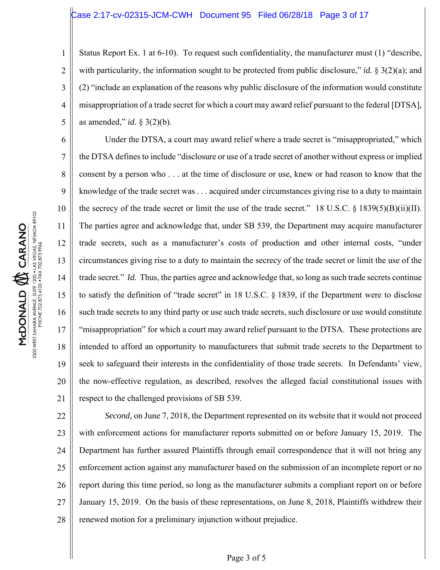# Case 2:17-cv-02315-JCM-CWH Document 95 Filed 06/28/18 Page 3 of 17

1 2 3 4 5 Status Report Ex. 1 at 6-10). To request such confidentiality, the manufacturer must (1) "describe, with particularity, the information sought to be protected from public disclosure," *id.*  $\S 3(2)(a)$ ; and (2) "include an explanation of the reasons why public disclosure of the information would constitute misappropriation of a trade secret for which a court may award relief pursuant to the federal [DTSA], as amended," *id.* § 3(2)(b).

Under the DTSA, a court may award relief where a trade secret is "misappropriated," which the DTSA defines to include "disclosure or use of a trade secret of another without express or implied consent by a person who . . . at the time of disclosure or use, knew or had reason to know that the knowledge of the trade secret was . . . acquired under circumstances giving rise to a duty to maintain the secrecy of the trade secret or limit the use of the trade secret." 18 U.S.C.  $\S$  1839(5)(B)(ii)(II). The parties agree and acknowledge that, under SB 539, the Department may acquire manufacturer trade secrets, such as a manufacturer's costs of production and other internal costs, "under circumstances giving rise to a duty to maintain the secrecy of the trade secret or limit the use of the trade secret." *Id.* Thus, the parties agree and acknowledge that, so long as such trade secrets continue to satisfy the definition of "trade secret" in 18 U.S.C. § 1839, if the Department were to disclose such trade secrets to any third party or use such trade secrets, such disclosure or use would constitute "misappropriation" for which a court may award relief pursuant to the DTSA. These protections are intended to afford an opportunity to manufacturers that submit trade secrets to the Department to seek to safeguard their interests in the confidentiality of those trade secrets. In Defendants' view, the now-effective regulation, as described, resolves the alleged facial constitutional issues with respect to the challenged provisions of SB 539.

22 23 24 25 26 27 28 *Second*, on June 7, 2018, the Department represented on its website that it would not proceed with enforcement actions for manufacturer reports submitted on or before January 15, 2019. The Department has further assured Plaintiffs through email correspondence that it will not bring any enforcement action against any manufacturer based on the submission of an incomplete report or no report during this time period, so long as the manufacturer submits a compliant report on or before January 15, 2019. On the basis of these representations, on June 8, 2018, Plaintiffs withdrew their renewed motion for a preliminary injunction without prejudice.

6

7

8

9

10

11

12

13

14

15

16

17

18

19

20

21

# Page 3 of 5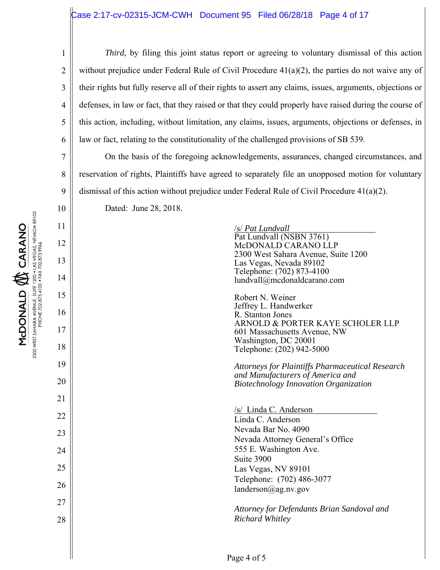# $\text{Case 2:17-cv-02315-JCM-CWH}$  Document 95 Filed 06/28/18 Page 4 of 17

7

8

9

10

11

12

13

14

15

16

17

18

19

20

21

22

23

24

25

26

27

28

1 2 3 4 5 6 *Third*, by filing this joint status report or agreeing to voluntary dismissal of this action without prejudice under Federal Rule of Civil Procedure  $41(a)(2)$ , the parties do not waive any of their rights but fully reserve all of their rights to assert any claims, issues, arguments, objections or defenses, in law or fact, that they raised or that they could properly have raised during the course of this action, including, without limitation, any claims, issues, arguments, objections or defenses, in law or fact, relating to the constitutionality of the challenged provisions of SB 539.

On the basis of the foregoing acknowledgements, assurances, changed circumstances, and reservation of rights, Plaintiffs have agreed to separately file an unopposed motion for voluntary dismissal of this action without prejudice under Federal Rule of Civil Procedure  $41(a)(2)$ .

Dated: June 28, 2018.

/s/ *Pat Lundvall* Pat Lundvall (NSBN 3761) McDONALD CARANO LLP 2300 West Sahara Avenue, Suite 1200 Las Vegas, Nevada 89102 Telephone: (702) 873-4100 lundvall@mcdonaldcarano.com

Robert N. Weiner Jeffrey L. Handwerker R. Stanton Jones ARNOLD & PORTER KAYE SCHOLER LLP 601 Massachusetts Avenue, NW Washington, DC 20001 Telephone: (202) 942-5000

*Attorneys for Plaintiffs Pharmaceutical Research and Manufacturers of America and Biotechnology Innovation Organization* 

/s/ Linda C. Anderson Linda C. Anderson Nevada Bar No. 4090 Nevada Attorney General's Office 555 E. Washington Ave. Suite 3900 Las Vegas, NV 89101 Telephone: (702) 486-3077 landerson@ag.nv.gov

*Attorney for Defendants Brian Sandoval and Richard Whitley*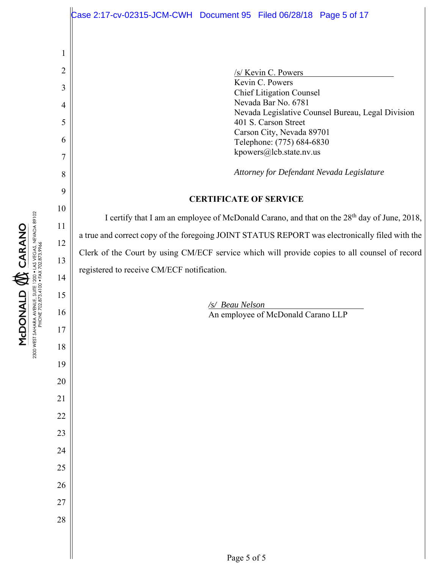1 2 3 4 5 6 7 8 9 10 11 12 13 14 15 16 17 18 19 20 21 22 23 24 25 26 27 28 /s/ Kevin C. Powers Kevin C. Powers Chief Litigation Counsel Nevada Bar No. 6781 Nevada Legislative Counsel Bureau, Legal Division 401 S. Carson Street Carson City, Nevada 89701 Telephone: (775) 684-6830 kpowers@lcb.state.nv.us *Attorney for Defendant Nevada Legislature*  **CERTIFICATE OF SERVICE**  I certify that I am an employee of McDonald Carano, and that on the 28th day of June, 2018, a true and correct copy of the foregoing JOINT STATUS REPORT was electronically filed with the Clerk of the Court by using CM/ECF service which will provide copies to all counsel of record registered to receive CM/ECF notification. */s/ Beau Nelson*  An employee of McDonald Carano LLP ase 2:17-cv-02315-JCM-CWH Document 95 Filed 06/28/18 Page 5 of 17

2300 WEST SAHARA AVENUE, SUITE 1200 • LAS VEGAS, NEVADA 89102<br>PHONE 702.873.4100 • FAX 702.873.9966 MCDONALD **W** CARANO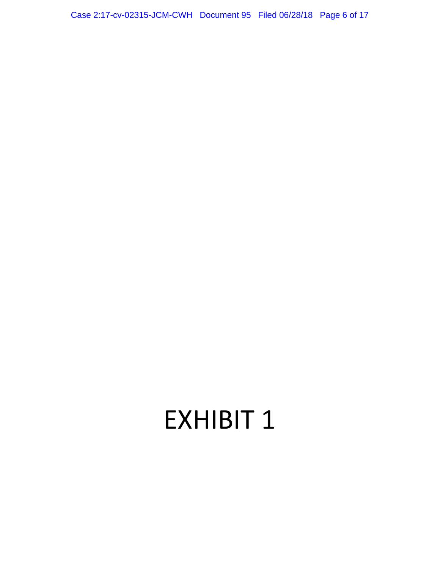Case 2:17-cv-02315-JCM-CWH Document 95 Filed 06/28/18 Page 6 of 17

# EXHIBIT 1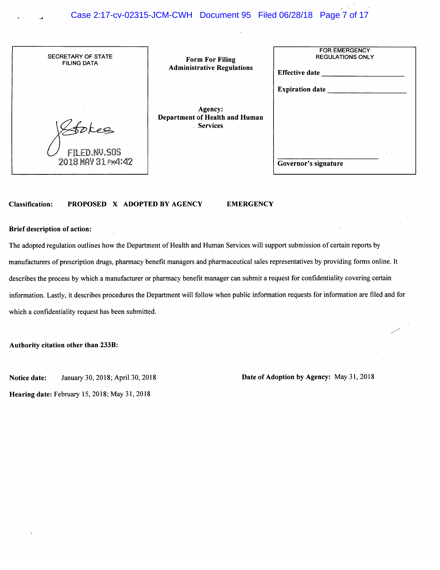# Case 2:17-cv-02315-JCM-CWH Document 95 Filed 06/28/18 Page 7 of 17

| SECRETARY OF STATE<br><b>FILING DATA</b>  | <b>Form For Filing</b><br><b>Administrative Regulations</b> | <b>FOR EMERGENCY</b><br><b>REGULATIONS ONLY</b><br><b>Effective date</b> |
|-------------------------------------------|-------------------------------------------------------------|--------------------------------------------------------------------------|
|                                           |                                                             | <b>Expiration date</b>                                                   |
|                                           | Agency:<br>Department of Health and Human<br>. Services     |                                                                          |
| <b>FILED.NV.SOS</b><br>2018 MAY 31 PM4:42 |                                                             | Governor's signature                                                     |

#### PROPOSED X ADOPTED BY AGENCY **Classification:**

#### **EMERGENCY**

#### **Brief description of action:**

The adopted regulation outlines how the Department of Health and Human Services will support submission of certain reports by manufacturers of prescription drugs, pharmacy benefit managers and pharmaceutical sales representatives by providing forms online. It describes the process by which a manufacturer or pharmacy benefit manager can submit a request for confidentiality covering certain information. Lastly, it describes procedures the Department will follow when public information requests for information are filed and for which a confidentiality request has been submitted.

Authority citation other than 233B:

Notice date: January 30, 2018; April 30, 2018 Date of Adoption by Agency: May 31, 2018

Hearing date: February 15, 2018; May 31, 2018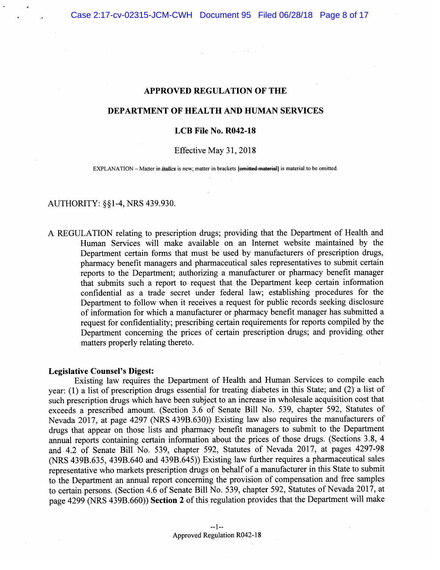$\mathcal{L}_{\rm{max}}$  , and  $\mathcal{L}_{\rm{max}}$ 

# **APPROVED REGULATION OF THE**

# DEPARTMENT OF HEALTH AND HUMAN SERVICES

# LCB File No. R042-18

### Effective May 31, 2018

EXPLANATION – Matter in *italics* is new; matter in brackets [omitted material] is material to be omitted.

# AUTHORITY: §§1-4, NRS 439.930.

A REGULATION relating to prescription drugs; providing that the Department of Health and Human Services will make available on an Internet website maintained by the Department certain forms that must be used by manufacturers of prescription drugs, pharmacy benefit managers and pharmaceutical sales representatives to submit certain reports to the Department; authorizing a manufacturer or pharmacy benefit manager that submits such a report to request that the Department keep certain information confidential as a trade secret under federal law; establishing procedures for the Department to follow when it receives a request for public records seeking disclosure of information for which a manufacturer or pharmacy benefit manager has submitted a request for confidentiality; prescribing certain requirements for reports compiled by the Department concerning the prices of certain prescription drugs; and providing other matters properly relating thereto.

#### **Legislative Counsel's Digest:**

Existing law requires the Department of Health and Human Services to compile each year: (1) a list of prescription drugs essential for treating diabetes in this State; and  $(2)$  a list of such prescription drugs which have been subject to an increase in wholesale acquisition cost that exceeds a prescribed amount. (Section 3.6 of Senate Bill No. 539, chapter 592, Statutes of Nevada 2017, at page 4297 (NRS 439B.630)) Existing law also requires the manufacturers of drugs that appear on those lists and pharmacy benefit managers to submit to the Department annual reports containing certain information about the prices of those drugs. (Sections 3.8, 4 and 4.2 of Senate Bill No. 539, chapter 592, Statutes of Nevada 2017, at pages 4297-98 (NRS 439B.635, 439B.640 and 439B.645)) Existing law further requires a pharmaceutical sales representative who markets prescription drugs on behalf of a manufacturer in this State to submit to the Department an annual report concerning the provision of compensation and free samples to certain persons. (Section 4.6 of Senate Bill No. 539, chapter 592, Statutes of Nevada 2017, at page 4299 (NRS 439B.660)) Section 2 of this regulation provides that the Department will make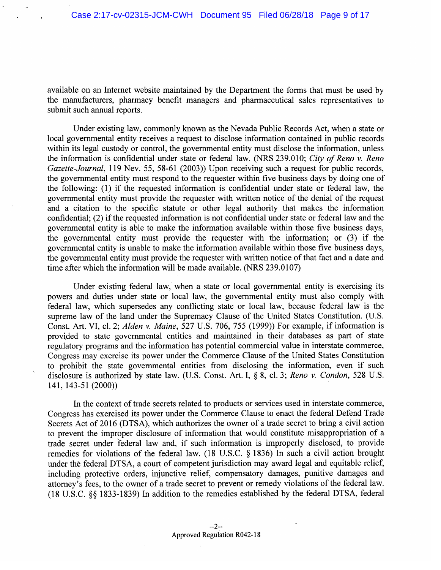available on an Internet website maintained by the Department the forms that must be used by the manufacturers, pharmacy benefit managers and pharmaceutical sales representatives to submit such annual reports.

Under existing law, commonly known as the Nevada Public Records Act, when a state or local governmental entity receives a request to disclose information contained in public records within its legal custody or control, the governmental entity must disclose the information, unless the information is confidential under state or federal law. (NRS 239.010; City of Reno v. Reno Gazette-Journal, 119 Nev. 55, 58-61 (2003)) Upon receiving such a request for public records, the governmental entity must respond to the requester within five business days by doing one of the following: (1) if the requested information is confidential under state or federal law, the governmental entity must provide the requester with written notice of the denial of the request and a citation to the specific statute or other legal authority that makes the information confidential; (2) if the requested information is not confidential under state or federal law and the governmental entity is able to make the information available within those five business days, the governmental entity must provide the requester with the information; or (3) if the governmental entity is unable to make the information available within those five business days, the governmental entity must provide the requester with written notice of that fact and a date and time after which the information will be made available. (NRS 239.0107)

Under existing federal law, when a state or local governmental entity is exercising its powers and duties under state or local law, the governmental entity must also comply with federal law, which supersedes any conflicting state or local law, because federal law is the supreme law of the land under the Supremacy Clause of the United States Constitution. (U.S. Const. Art. VI, cl. 2; Alden v. Maine, 527 U.S. 706, 755 (1999)) For example, if information is provided to state governmental entities and maintained in their databases as part of state regulatory programs and the information has potential commercial value in interstate commerce, Congress may exercise its power under the Commerce Clause of the United States Constitution to prohibit the state governmental entities from disclosing the information, even if such disclosure is authorized by state law. (U.S. Const. Art. I, § 8, cl. 3; Reno v. Condon, 528 U.S. 141, 143-51 (2000))

In the context of trade secrets related to products or services used in interstate commerce, Congress has exercised its power under the Commerce Clause to enact the federal Defend Trade Secrets Act of 2016 (DTSA), which authorizes the owner of a trade secret to bring a civil action to prevent the improper disclosure of information that would constitute misappropriation of a trade secret under federal law and, if such information is improperly disclosed, to provide remedies for violations of the federal law. (18 U.S.C. § 1836) In such a civil action brought under the federal DTSA, a court of competent jurisdiction may award legal and equitable relief, including protective orders, injunctive relief, compensatory damages, punitive damages and attorney's fees, to the owner of a trade secret to prevent or remedy violations of the federal law. (18 U.S.C. §§ 1833-1839) In addition to the remedies established by the federal DTSA, federal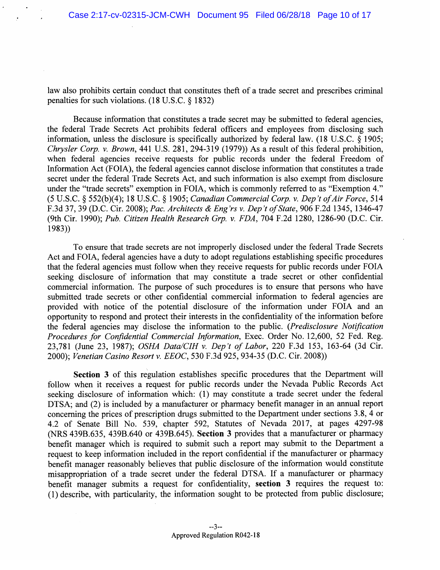law also prohibits certain conduct that constitutes theft of a trade secret and prescribes criminal penalties for such violations.  $(18 \text{ U.S.C. } § 1832)$ 

Because information that constitutes a trade secret may be submitted to federal agencies, the federal Trade Secrets Act prohibits federal officers and employees from disclosing such information, unless the disclosure is specifically authorized by federal law. (18 U.S.C. § 1905; Chrysler Corp. v. Brown, 441 U.S. 281, 294-319 (1979)) As a result of this federal prohibition, when federal agencies receive requests for public records under the federal Freedom of Information Act (FOIA), the federal agencies cannot disclose information that constitutes a trade secret under the federal Trade Secrets Act, and such information is also exempt from disclosure under the "trade secrets" exemption in FOIA, which is commonly referred to as "Exemption 4." (5 U.S.C. § 552(b)(4); 18 U.S.C. § 1905; Canadian Commercial Corp. v. Dep't of Air Force, 514 F.3d 37, 39 (D.C. Cir. 2008); Pac. Architects & Eng'rs v. Dep't of State, 906 F.2d 1345, 1346-47 (9th Cir. 1990); Pub. Citizen Health Research Grp. v. FDA, 704 F.2d 1280, 1286-90 (D.C. Cir.  $1983)$ 

To ensure that trade secrets are not improperly disclosed under the federal Trade Secrets Act and FOIA, federal agencies have a duty to adopt regulations establishing specific procedures that the federal agencies must follow when they receive requests for public records under FOIA seeking disclosure of information that may constitute a trade secret or other confidential commercial information. The purpose of such procedures is to ensure that persons who have submitted trade secrets or other confidential commercial information to federal agencies are provided with notice of the potential disclosure of the information under FOIA and an opportunity to respond and protect their interests in the confidentiality of the information before the federal agencies may disclose the information to the public. (Predisclosure Notification Procedures for Confidential Commercial Information, Exec. Order No. 12,600, 52 Fed. Reg. 23,781 (June 23, 1987); OSHA Data/CIH v. Dep't of Labor, 220 F.3d 153, 163-64 (3d Cir. 2000); Venetian Casino Resort v. EEOC, 530 F.3d 925, 934-35 (D.C. Cir. 2008))

Section 3 of this regulation establishes specific procedures that the Department will follow when it receives a request for public records under the Nevada Public Records Act seeking disclosure of information which: (1) may constitute a trade secret under the federal DTSA; and (2) is included by a manufacturer or pharmacy benefit manager in an annual report concerning the prices of prescription drugs submitted to the Department under sections 3.8, 4 or 4.2 of Senate Bill No. 539, chapter 592, Statutes of Nevada 2017, at pages 4297-98 (NRS 439B.635, 439B.640 or 439B.645). Section 3 provides that a manufacturer or pharmacy benefit manager which is required to submit such a report may submit to the Department a request to keep information included in the report confidential if the manufacturer or pharmacy benefit manager reasonably believes that public disclosure of the information would constitute misappropriation of a trade secret under the federal DTSA. If a manufacturer or pharmacy benefit manager submits a request for confidentiality, section 3 requires the request to: (1) describe, with particularity, the information sought to be protected from public disclosure;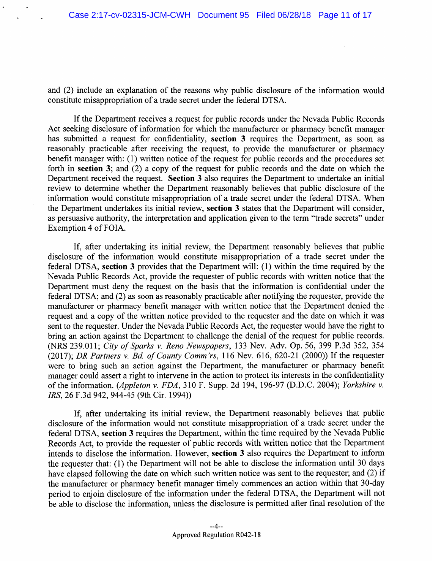and (2) include an explanation of the reasons why public disclosure of the information would constitute misappropriation of a trade secret under the federal DTSA.

If the Department receives a request for public records under the Nevada Public Records Act seeking disclosure of information for which the manufacturer or pharmacy benefit manager has submitted a request for confidentiality, section 3 requires the Department, as soon as reasonably practicable after receiving the request, to provide the manufacturer or pharmacy benefit manager with: (1) written notice of the request for public records and the procedures set forth in section 3; and  $(2)$  a copy of the request for public records and the date on which the Department received the request. Section 3 also requires the Department to undertake an initial review to determine whether the Department reasonably believes that public disclosure of the information would constitute misappropriation of a trade secret under the federal DTSA. When the Department undertakes its initial review, section 3 states that the Department will consider, as persuasive authority, the interpretation and application given to the term "trade secrets" under Exemption 4 of FOIA.

If, after undertaking its initial review, the Department reasonably believes that public disclosure of the information would constitute misappropriation of a trade secret under the federal DTSA, section 3 provides that the Department will: (1) within the time required by the Nevada Public Records Act, provide the requester of public records with written notice that the Department must deny the request on the basis that the information is confidential under the federal DTSA; and (2) as soon as reasonably practicable after notifying the requester, provide the manufacturer or pharmacy benefit manager with written notice that the Department denied the request and a copy of the written notice provided to the requester and the date on which it was sent to the requester. Under the Nevada Public Records Act, the requester would have the right to bring an action against the Department to challenge the denial of the request for public records. (NRS 239.011; City of Sparks v. Reno Newspapers, 133 Nev. Adv. Op. 56, 399 P.3d 352, 354 (2017); DR Partners v. Bd. of County Comm'rs, 116 Nev. 616, 620-21 (2000)) If the requester were to bring such an action against the Department, the manufacturer or pharmacy benefit manager could assert a right to intervene in the action to protect its interests in the confidentiality of the information. (Appleton v. FDA, 310 F. Supp. 2d 194, 196-97 (D.D.C. 2004); Yorkshire v. IRS, 26 F.3d 942, 944-45 (9th Cir. 1994))

If, after undertaking its initial review, the Department reasonably believes that public disclosure of the information would not constitute misappropriation of a trade secret under the federal DTSA, section 3 requires the Department, within the time required by the Nevada Public Records Act, to provide the requester of public records with written notice that the Department intends to disclose the information. However, section 3 also requires the Department to inform the requester that: (1) the Department will not be able to disclose the information until 30 days have elapsed following the date on which such written notice was sent to the requester; and (2) if the manufacturer or pharmacy benefit manager timely commences an action within that 30-day period to enjoin disclosure of the information under the federal DTSA, the Department will not be able to disclose the information, unless the disclosure is permitted after final resolution of the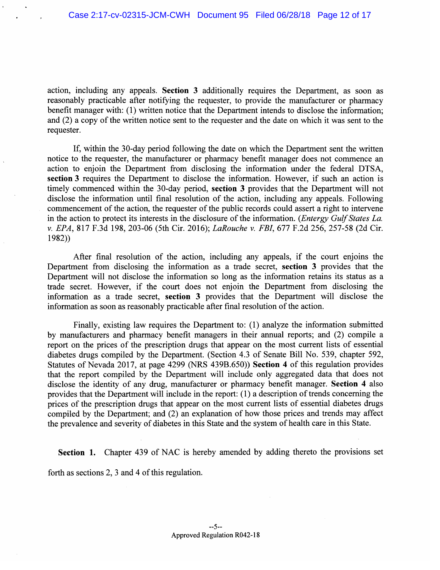action, including any appeals. Section 3 additionally requires the Department, as soon as reasonably practicable after notifying the requester, to provide the manufacturer or pharmacy benefit manager with: (1) written notice that the Department intends to disclose the information; and  $(2)$  a copy of the written notice sent to the requester and the date on which it was sent to the requester.

If, within the 30-day period following the date on which the Department sent the written notice to the requester, the manufacturer or pharmacy benefit manager does not commence an action to enjoin the Department from disclosing the information under the federal DTSA, section 3 requires the Department to disclose the information. However, if such an action is timely commenced within the 30-day period, section 3 provides that the Department will not disclose the information until final resolution of the action, including any appeals. Following commencement of the action, the requester of the public records could assert a right to intervene in the action to protect its interests in the disclosure of the information. (*Entergy Gulf States La.*) v. EPA, 817 F.3d 198, 203-06 (5th Cir. 2016); LaRouche v. FBI, 677 F.2d 256, 257-58 (2d Cir.  $1982)$ 

After final resolution of the action, including any appeals, if the court enjoins the Department from disclosing the information as a trade secret, section 3 provides that the Department will not disclose the information so long as the information retains its status as a trade secret. However, if the court does not enjoin the Department from disclosing the information as a trade secret, section 3 provides that the Department will disclose the information as soon as reasonably practicable after final resolution of the action.

Finally, existing law requires the Department to: (1) analyze the information submitted by manufacturers and pharmacy benefit managers in their annual reports; and (2) compile a report on the prices of the prescription drugs that appear on the most current lists of essential diabetes drugs compiled by the Department. (Section 4.3 of Senate Bill No. 539, chapter 592, Statutes of Nevada 2017, at page 4299 (NRS 439B.650)) Section 4 of this regulation provides that the report compiled by the Department will include only aggregated data that does not disclose the identity of any drug, manufacturer or pharmacy benefit manager. Section 4 also provides that the Department will include in the report: (1) a description of trends concerning the prices of the prescription drugs that appear on the most current lists of essential diabetes drugs compiled by the Department; and (2) an explanation of how those prices and trends may affect the prevalence and severity of diabetes in this State and the system of health care in this State.

Section 1. Chapter 439 of NAC is hereby amended by adding thereto the provisions set

forth as sections 2, 3 and 4 of this regulation.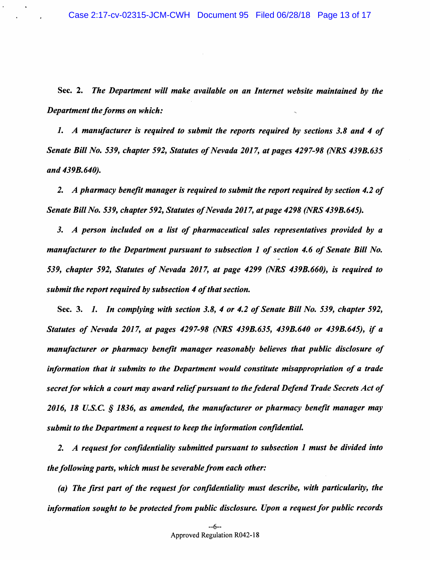Sec. 2. The Department will make available on an Internet website maintained by the Department the forms on which:

1. A manufacturer is required to submit the reports required by sections 3.8 and 4 of Senate Bill No. 539, chapter 592, Statutes of Nevada 2017, at pages 4297-98 (NRS 439B.635) and 439B.640).

2. A pharmacy benefit manager is required to submit the report required by section 4.2 of Senate Bill No. 539, chapter 592, Statutes of Nevada 2017, at page 4298 (NRS 439B.645).

3. A person included on a list of pharmaceutical sales representatives provided by a manufacturer to the Department pursuant to subsection 1 of section 4.6 of Senate Bill No. 539, chapter 592, Statutes of Nevada 2017, at page 4299 (NRS 439B.660), is required to submit the report required by subsection 4 of that section.

Sec. 3. 1. In complying with section 3.8, 4 or 4.2 of Senate Bill No. 539, chapter 592, Statutes of Nevada 2017, at pages 4297-98 (NRS 439B.635, 439B.640 or 439B.645), if a manufacturer or pharmacy benefit manager reasonably believes that public disclosure of information that it submits to the Department would constitute misappropriation of a trade secret for which a court may award relief pursuant to the federal Defend Trade Secrets Act of 2016, 18 U.S.C. § 1836, as amended, the manufacturer or pharmacy benefit manager may submit to the Department a request to keep the information confidential.

2. A request for confidentiality submitted pursuant to subsection 1 must be divided into the following parts, which must be severable from each other:

(a) The first part of the request for confidentiality must describe, with particularity, the information sought to be protected from public disclosure. Upon a request for public records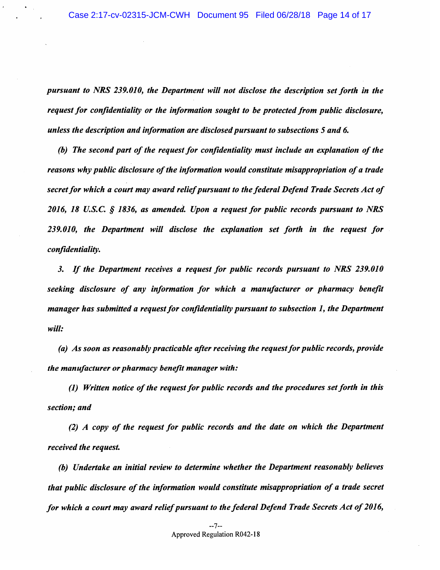pursuant to NRS 239.010, the Department will not disclose the description set forth in the request for confidentiality or the information sought to be protected from public disclosure, unless the description and information are disclosed pursuant to subsections 5 and 6.

(b) The second part of the request for confidentiality must include an explanation of the reasons why public disclosure of the information would constitute misappropriation of a trade secret for which a court may award relief pursuant to the federal Defend Trade Secrets Act of 2016, 18 U.S.C. § 1836, as amended. Upon a request for public records pursuant to NRS 239.010, the Department will disclose the explanation set forth in the request for confidentiality.

3. If the Department receives a request for public records pursuant to NRS 239.010 seeking disclosure of any information for which a manufacturer or pharmacy benefit manager has submitted a request for confidentiality pursuant to subsection 1, the Department will:

(a) As soon as reasonably practicable after receiving the request for public records, provide the manufacturer or pharmacy benefit manager with:

(1) Written notice of the request for public records and the procedures set forth in this section; and

(2) A copy of the request for public records and the date on which the Department received the request.

(b) Undertake an initial review to determine whether the Department reasonably believes that public disclosure of the information would constitute misappropriation of a trade secret for which a court may award relief pursuant to the federal Defend Trade Secrets Act of 2016,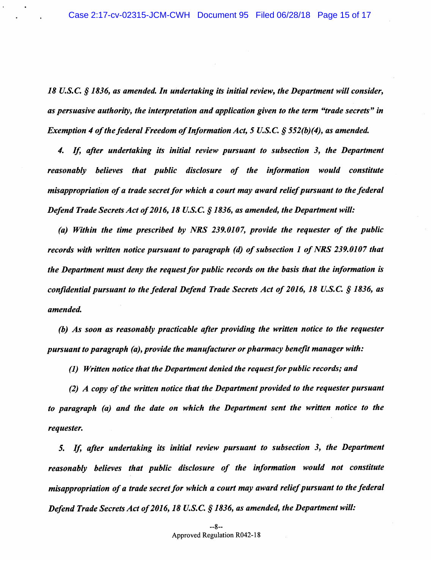18 U.S.C. § 1836, as amended. In undertaking its initial review, the Department will consider, as persuasive authority, the interpretation and application given to the term "trade secrets" in Exemption 4 of the federal Freedom of Information Act, 5 U.S.C. § 552(b)(4), as amended.

4. If, after undertaking its initial review pursuant to subsection 3, the Department reasonably believes that public disclosure of the information would constitute misappropriation of a trade secret for which a court may award relief pursuant to the federal Defend Trade Secrets Act of 2016, 18 U.S.C. § 1836, as amended, the Department will:

(a) Within the time prescribed by NRS 239.0107, provide the requester of the public records with written notice pursuant to paragraph (d) of subsection 1 of NRS 239.0107 that the Department must deny the request for public records on the basis that the information is confidential pursuant to the federal Defend Trade Secrets Act of 2016, 18 U.S.C. § 1836, as amended.

(b) As soon as reasonably practicable after providing the written notice to the requester pursuant to paragraph (a), provide the manufacturer or pharmacy benefit manager with:

(1) Written notice that the Department denied the request for public records; and

(2) A copy of the written notice that the Department provided to the requester pursuant to paragraph (a) and the date on which the Department sent the written notice to the requester.

5. If, after undertaking its initial review pursuant to subsection 3, the Department reasonably believes that public disclosure of the information would not constitute misappropriation of a trade secret for which a court may award relief pursuant to the federal Defend Trade Secrets Act of 2016, 18 U.S.C. § 1836, as amended, the Department will: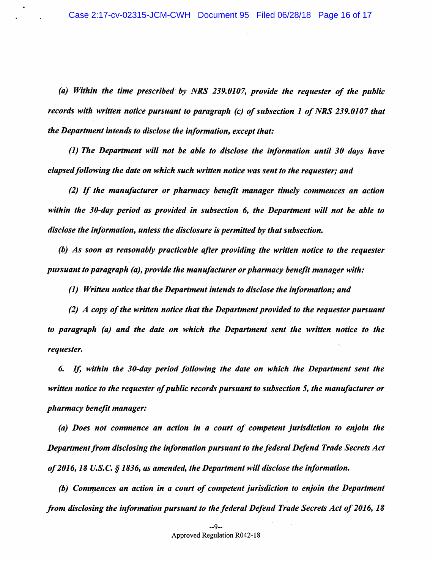(a) Within the time prescribed by NRS 239.0107, provide the reauester of the public records with written notice pursuant to paragraph (c) of subsection 1 of NRS 239.0107 that the Department intends to disclose the information, except that:

(1) The Department will not be able to disclose the information until 30 days have elapsed following the date on which such written notice was sent to the requester; and

(2) If the manufacturer or pharmacy benefit manager timely commences an action within the 30-day period as provided in subsection 6, the Department will not be able to disclose the information, unless the disclosure is permitted by that subsection.

(b) As soon as reasonably practicable after providing the written notice to the requester pursuant to paragraph (a), provide the manufacturer or pharmacy benefit manager with:

(1) Written notice that the Department intends to disclose the information; and

(2) A copy of the written notice that the Department provided to the requester pursuant to paragraph (a) and the date on which the Department sent the written notice to the requester.

If, within the 30-day period following the date on which the Department sent the 6. written notice to the requester of public records pursuant to subsection 5, the manufacturer or pharmacy benefit manager:

(a) Does not commence an action in a court of competent jurisdiction to enjoin the Department from disclosing the information pursuant to the federal Defend Trade Secrets Act of 2016, 18 U.S.C.  $\S$  1836, as amended, the Department will disclose the information.

(b) Commences an action in a court of competent jurisdiction to enjoin the Department from disclosing the information pursuant to the federal Defend Trade Secrets Act of 2016, 18